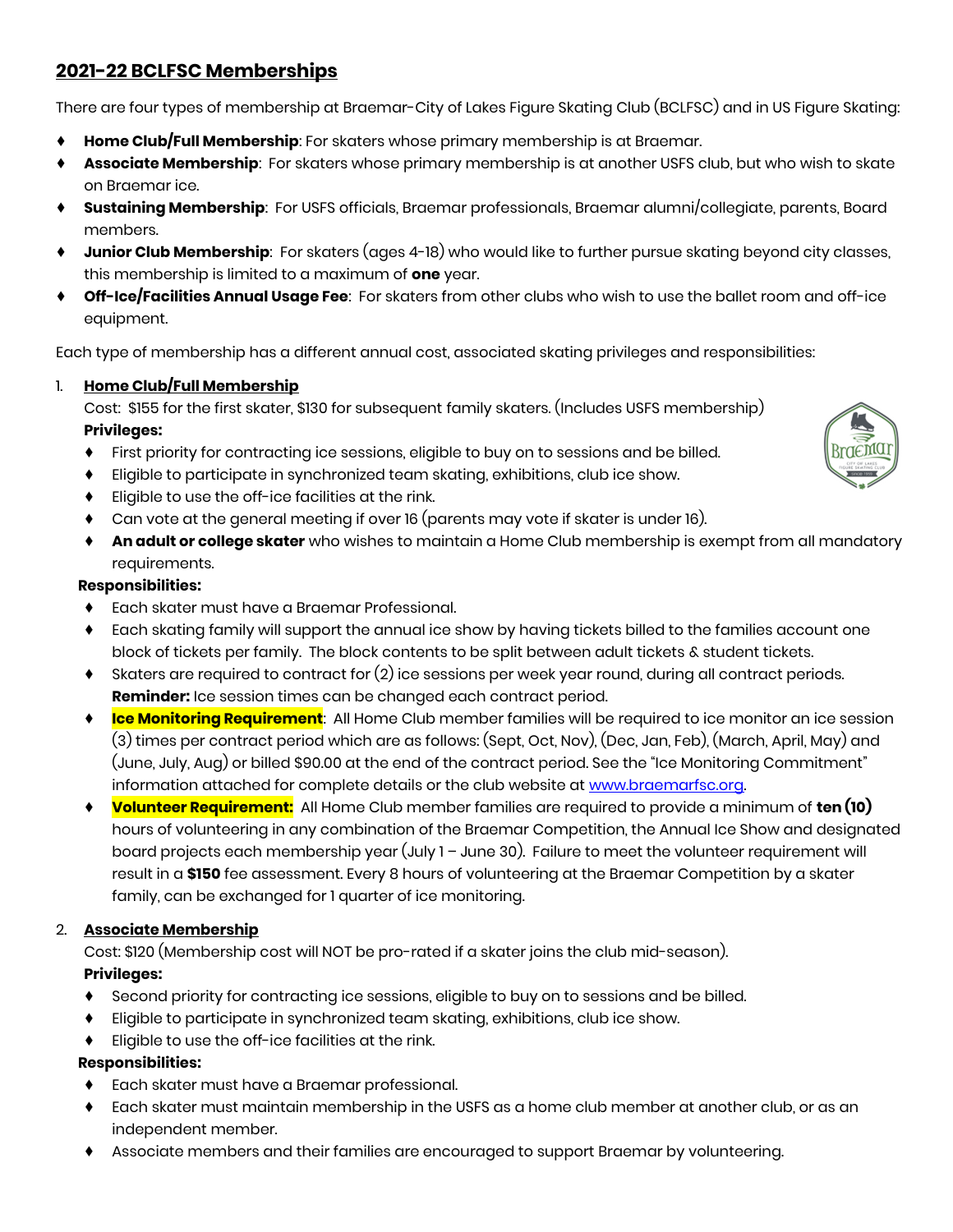# **2021-22 BCLFSC Memberships**

There are four types of membership at Braemar-City of Lakes Figure Skating Club (BCLFSC) and in US Figure Skating:

- ♦ **Home Club/Full Membership**: For skaters whose primary membership is at Braemar.
- Associate Membership: For skaters whose primary membership is at another USFS club, but who wish to skate on Braemar ice.
- ♦ **Sustaining Membership**: For USFS officials, Braemar professionals, Braemar alumni/collegiate, parents, Board members.
- ♦ **Junior Club Membership**: For skaters (ages 4-18) who would like to further pursue skating beyond city classes, this membership is limited to a maximum of **one** year.
- ♦ **Off-Ice/Facilities Annual Usage Fee**: For skaters from other clubs who wish to use the ballet room and off-ice equipment.

Each type of membership has a different annual cost, associated skating privileges and responsibilities:

# 1. **Home Club/Full Membership**

Cost: \$155 for the first skater, \$130 for subsequent family skaters. (Includes USFS membership) **Privileges:**

- ♦ First priority for contracting ice sessions, eligible to buy on to sessions and be billed.
- ♦ Eligible to participate in synchronized team skating, exhibitions, club ice show.
- ♦ Eligible to use the off-ice facilities at the rink.
- ♦ Can vote at the general meeting if over 16 (parents may vote if skater is under 16).
- ♦ **An adult or college skater** who wishes to maintain a Home Club membership is exempt from all mandatory requirements.

# **Responsibilities:**

- ♦ Each skater must have a Braemar Professional.
- ♦ Each skating family will support the annual ice show by having tickets billed to the families account one block of tickets per family. The block contents to be split between adult tickets & student tickets.
- ♦ Skaters are required to contract for (2) ice sessions per week year round, during all contract periods. **Reminder:** Ice session times can be changed each contract period.
- ♦ **Ice Monitoring Requirement**: All Home Club member families will be required to ice monitor an ice session (3) times per contract period which are as follows: (Sept, Oct, Nov), (Dec, Jan, Feb), (March, April, May) and (June, July, Aug) or billed \$90.00 at the end of the contract period. See the "Ice Monitoring Commitment" information attached for complete details or the club website at www.braemarfsc.org.
- ♦ **Volunteer Requirement:** All Home Club member families are required to provide a minimum of **ten (10)** hours of volunteering in any combination of the Braemar Competition, the Annual Ice Show and designated board projects each membership year (July 1 – June 30). Failure to meet the volunteer requirement will result in a **\$150** fee assessment. Every 8 hours of volunteering at the Braemar Competition by a skater family, can be exchanged for 1 quarter of ice monitoring.

# 2. **Associate Membership**

Cost: \$120 (Membership cost will NOT be pro-rated if a skater joins the club mid-season). **Privileges:**

- ♦ Second priority for contracting ice sessions, eligible to buy on to sessions and be billed.
- Eligible to participate in synchronized team skating, exhibitions, club ice show.
- ♦ Eligible to use the off-ice facilities at the rink.

# **Responsibilities:**

- ♦ Each skater must have a Braemar professional.
- ♦ Each skater must maintain membership in the USFS as a home club member at another club, or as an independent member.
- ♦ Associate members and their families are encouraged to support Braemar by volunteering.

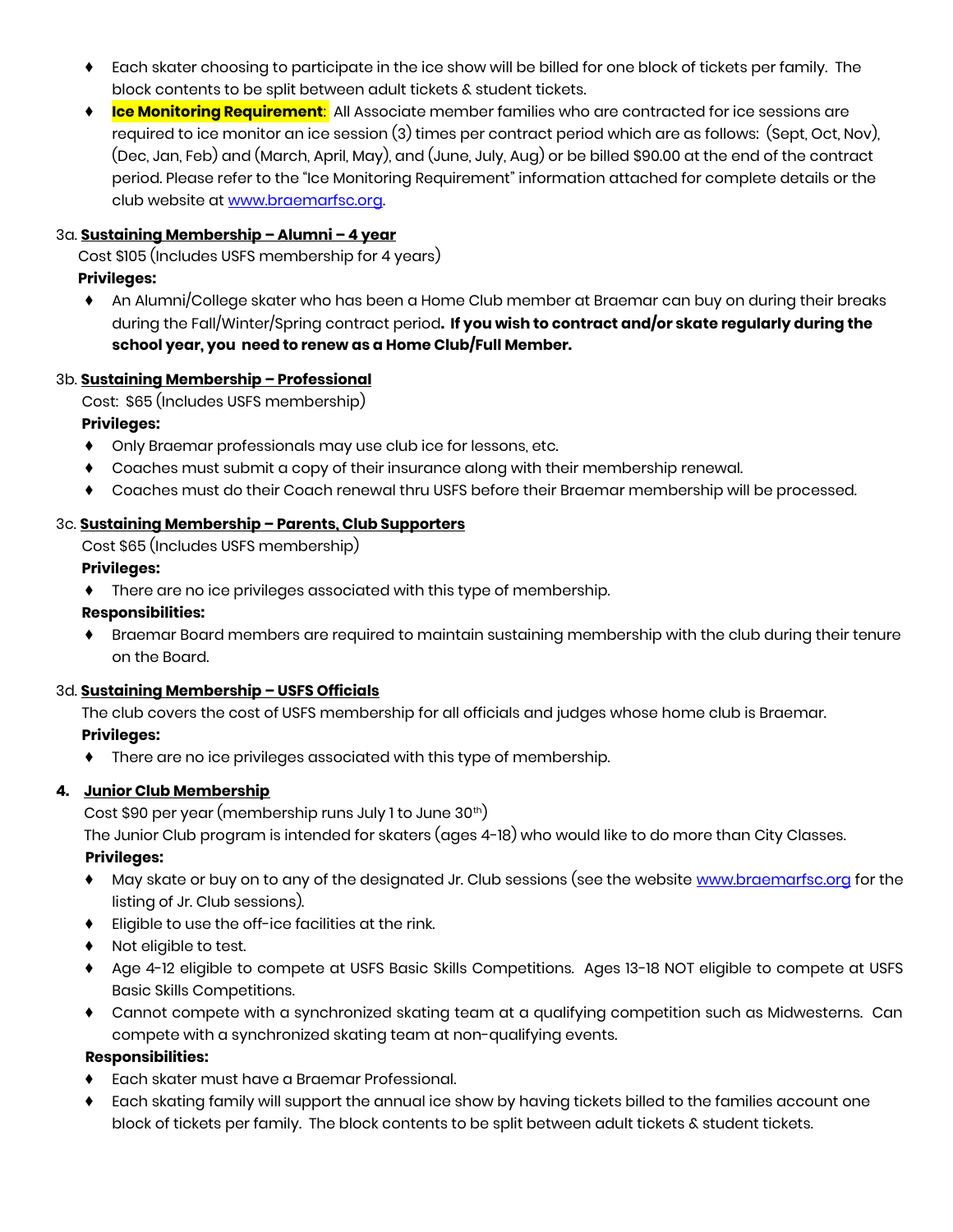- Each skater choosing to participate in the ice show will be billed for one block of tickets per family. The block contents to be split between adult tickets & student tickets.
- ♦ **Ice Monitoring Requirement**: All Associate member families who are contracted for ice sessions are required to ice monitor an ice session (3) times per contract period which are as follows: (Sept, Oct, Nov), (Dec, Jan, Feb) and (March, April, May), and (June, July, Aug) or be billed \$90.00 at the end of the contract period. Please refer to the "Ice Monitoring Requirement" information attached for complete details or the club website a[t www.braemarfsc.org.](http://www.braemarfsc.org/)

#### 3a. **Sustaining Membership – Alumni – 4 year**

Cost \$105 (Includes USFS membership for 4 years)

### **Privileges:**

♦ An Alumni/College skater who has been a Home Club member at Braemar can buy on during their breaks during the Fall/Winter/Spring contract period**. If you wish to contract and/or skate regularly during the school year, you need to renew as a Home Club/Full Member.**

#### 3b. **Sustaining Membership – Professional**

Cost: \$65 (Includes USFS membership)

#### **Privileges:**

- ♦ Only Braemar professionals may use club ice for lessons, etc.
- ♦ Coaches must submit a copy of their insurance along with their membership renewal.
- ♦ Coaches must do their Coach renewal thru USFS before their Braemar membership will be processed.

# 3c. **Sustaining Membership – Parents, Club Supporters**

Cost \$65 (Includes USFS membership)

#### **Privileges:**

♦ There are no ice privileges associated with this type of membership.

#### **Responsibilities:**

Braemar Board members are required to maintain sustaining membership with the club during their tenure on the Board.

#### 3d. **Sustaining Membership – USFS Officials**

The club covers the cost of USFS membership for all officials and judges whose home club is Braemar.

# **Privileges:**

♦ There are no ice privileges associated with this type of membership.

# **4. Junior Club Membership**

Cost \$90 per year (membership runs July 1 to June 30<sup>th</sup>)

The Junior Club program is intended for skaters (ages 4-18) who would like to do more than City Classes.

#### **Privileges:**

- ♦ May skate or buy on to any of the designated Jr. Club sessions (see the website [www.braemarfsc.org](http://www.braemarfsc.org/) for the listing of Jr. Club sessions).
- ♦ Eligible to use the off-ice facilities at the rink.
- ♦ Not eligible to test.
- ♦ Age 4-12 eligible to compete at USFS Basic Skills Competitions. Ages 13-18 NOT eligible to compete at USFS Basic Skills Competitions.
- ♦ Cannot compete with a synchronized skating team at a qualifying competition such as Midwesterns. Can compete with a synchronized skating team at non-qualifying events.

# **Responsibilities:**

- ♦ Each skater must have a Braemar Professional.
- Each skating family will support the annual ice show by having tickets billed to the families account one block of tickets per family. The block contents to be split between adult tickets & student tickets.